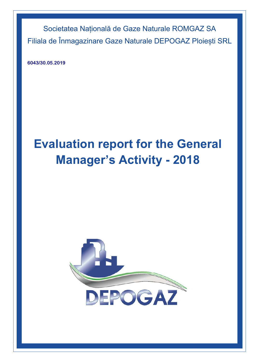**6043/30.05.2019**

# **Evaluation report for the General Manager's Activity - 2018**

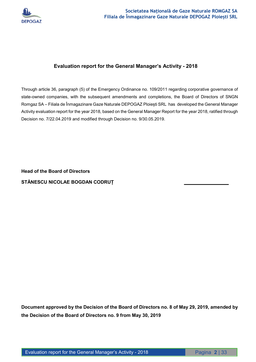

# **Evaluation report for the General Manager's Activity - 2018**

Through article 36, paragraph (5) of the Emergency Ordinance no. 109/2011 regarding corporative governance of state-owned companies, with the subsequent amendments and completions, the Board of Directors of SNGN Romgaz SA – Filiala de Înmagazinare Gaze Naturale DEPOGAZ Ploiești SRL has developed the General Manager Activity evaluation report for the year 2018, based on the General Manager Report for the year 2018, ratified through Decision no. 7/22.04.2019 and modified through Decision no. 9/30.05.2019.

**Head of the Board of Directors**  STĂNESCU NICOLAE BOGDAN CODRUȚ

**Document approved by the Decision of the Board of Directors no. 8 of May 29, 2019, amended by the Decision of the Board of Directors no. 9 from May 30, 2019**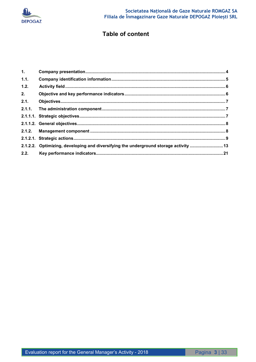

# **Table of content**

| $\mathbf{1}$ . |                                                                                      |  |
|----------------|--------------------------------------------------------------------------------------|--|
| 1.1.           |                                                                                      |  |
| 1.2.           |                                                                                      |  |
| 2.             |                                                                                      |  |
| 2.1.           |                                                                                      |  |
|                |                                                                                      |  |
|                |                                                                                      |  |
|                |                                                                                      |  |
|                |                                                                                      |  |
|                |                                                                                      |  |
|                | 2.1.2.2. Optimizing, developing and diversifying the underground storage activity 13 |  |
| 2.2.           |                                                                                      |  |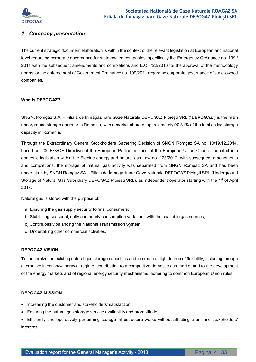

# *1. Company presentation*

The current strategic document elaboration is within the context of the relevant legislation at European and national level regarding corporate governance for state-owned companies, specifically the Emergency Ordinance no. 109 / 2011 with the subsequent amendments and completions and E.O. 722/2016 for the approval of the methodology norms for the enforcement of Government Ordinance no. 109/2011 regarding corporate governance of state-owned companies.

#### **Who is DEPOGAZ?**

SNGN. Romgaz S.A. – Filiala de Înmagazinare Gaze Naturale DEPOGAZ Ploiești SRL ("**DEPOGAZ**") is the main underground storage operator in Romania, with a market share of approximately 90.31% of the total active storage capacity in Romania.

Through the Extraordinary General Stockholders Gathering Decision of SNGN Romgaz SA no. 10/19.12.2014, based on 2009/73/CE Directive of the European Parliament and of the European Union Council, adopted into domestic legislation within the Electric energy and natural gas Law no. 123/2012, with subsequent amendments and completions, the storage of natural gas activity was separated from SNGN Romgaz SA and has been undertaken by SNGN Romgaz SA – Filiala de Înmagazinare Gaze Naturale DEPOGAZ Ploiești SRL (Underground Storage of Natural Gas Subsidiary DEPOGAZ Ploiesti SRL), as independent operator starting with the 1<sup>st</sup> of April 2018.

Natural gas is stored with the purpose of:

- a) Ensuring the gas supply security to final consumers;
- b) Stabilizing seasonal, daily and hourly consumption variations with the available gas sources;
- c) Continuously balancing the National Transmission System;
- d) Undertaking other commercial activities.

#### **DEPOGAZ VISION**

To modernize the existing natural gas storage capacities and to create a high degree of flexibility, including through alternative injection/withdrawal regime, contributing to a competitive domestic gas market and to the development of the energy markets and of regional energy security mechanisms, adhering to common European Union rules.

#### **DEPOGAZ MISSION**

- Increasing the customer and stakeholders' satisfaction;
- Ensuring the natural gas storage service availability and promptitude;

 Efficiently and operatively performing storage infrastructure works without affecting client and stakeholders' interests.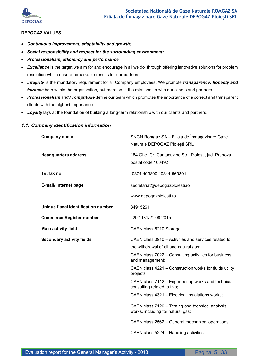

#### **DEPOGAZ VALUES**

- *Continuous improvement, adaptability and growth;*
- *Social responsibility and respect for the surrounding environment;*
- *Professionalism, efficiency and performance.*
- **Excellence** is the target we aim for and encourage in all we do, through offering innovative solutions for problem resolution which ensure remarkable results for our partners.
- *Integrity* is the mandatory requirement for all Company employees. We promote *transparency, honesty and fairness* both within the organization, but more so in the relationship with our clients and partners.
- *Professionalism and Promptitude* define our team which promotes the importance of a correct and transparent clients with the highest importance.
- *Loyalty* lays at the foundation of building a long-term relationship with our clients and partners.

# **Company name** SNGN Romgaz SA – Filiala de Înmagazinare Gaze Naturale DEPOGAZ Ploiești SRL **Headquarters address** 184 Ghe. Gr. Cantacuzino Str., Ploiești, jud. Prahova, postal code 100492 **Tel/fax no.** 0374-403800 / 0344-569391 **E-mail/ internet page** secretariat@depogazploiesti.ro www.depogazploiesti.ro **Unique fiscal identification number** 34915261 **Commerce Register number** J29/1181/21.08.2015 **Main activity field** CAEN class 5210 Storage **Secondary activity fields** CAEN class 0910 – Activities and services related to the withdrawal of oil and natural gas; CAEN class 7022 – Consulting activities for business and management; CAEN class 4221 – Construction works for fluids utility projects; CAEN class 7112 – Engeneering works and technical consulting related to this; CAEN class 4321 – Electrical instalations works; CAEN class 7120 – Testing and technical analysis works, including for natural gas; CAEN class 2562 – General mechanical operations; CAEN class 5224 – Handling activities.

#### *1.1. Company identification information*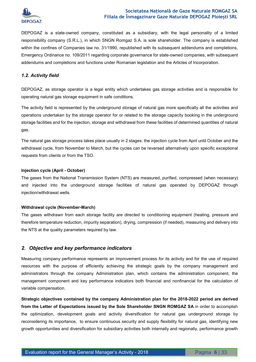

DEPOGAZ is a state-owned company, constituted as a subsidiary, with the legal personality of a limited responsibility company (S.R.L.), in which SNGN Romgaz S.A. is sole shareholder. The company is established within the confines of Companies law no. 31/1990, republished with its subsequent addendums and completions, Emergency Ordinance no. 109/2011 regarding corporate governance for state-owned companies, with subsequent addendums and completions and functions under Romanian legislation and the Articles of Incorporation.

#### *1.2. Activity field*

DEPOGAZ, as storage operator is a legal entity which undertakes gas storage activities and is responsible for operating natural gas storage equipment in safe conditions.

The activity field is represented by the underground storage of natural gas more specifically all the activities and operations undertaken by the storage operator for or related to the storage capacity booking in the underground storage facilities and for the injection, storage and withdrawal from these facilities of determined quantities of natural gas.

The natural gas storage process takes place usually in 2 stages: the injection cycle from April until October and the withdrawal cycle, from November to March, but the cycles can be reversed alternatively upon specific exceptional requests from clients or from the TSO.

#### **Injection cycle (April - October)**

The gases from the National Transmission System (NTS) are measured, purified, compressed (when necessary) and injected into the underground storage facilities of natural gas operated by DEPOGAZ through injection/withdrawal wells.

#### **Withdrawal cycle (November-March)**

The gases withdrawn from each storage facility are directed to conditioning equipment (heating, pressure and therefore temperature reduction, impurity separation), drying, compression (if needed), measuring and delivery into the NTS at the quality parameters required by law.

#### *2. Objective and key performance indicators*

Measuring company performance represents an improvement process for its activity and for the use of required resources with the purpose of efficiently achieving the strategic goals by the company management and administrators through the company Administration plan, which contains the administration component, the management component and key performance indicators both financial and nonfinancial for the calculation of variable compensation.

**Strategic objectives contained by the company Administration plan for the 2018-2022 period are derived from the Letter of Expectations issued by the Sole Shareholder SNGN ROMGAZ SA** in order to accomplish the optimization, development goals and activity diversification for natural gas underground storage by reconsidering its importance, to ensure continuous security and supply flexibility for natural gas, identifying new growth opportunities and diversification for subsidiary activities both internally and regionally, performance growth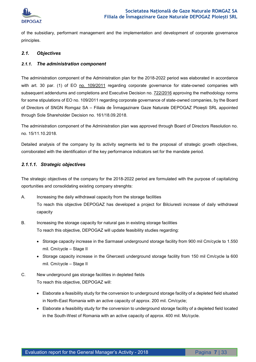

of the subsidiary, performant management and the implementation and development of corporate governance principles.

#### *2.1. Objectives*

#### *2.1.1. The administration component*

The administration component of the Administration plan for the 2018-2022 period was elaborated in accordance with art. 30 par. (1) of EO no. 109/2011 regarding corporate governance for state-owned companies with subsequent addendums and completions and Executive Decision no. 722/2016 approving the methodology norms for some stipulations of EO no. 109/2011 regarding corporate governance of state-owned companies, by the Board of Directors of SNGN Romgaz SA – Filiala de Înmagazinare Gaze Naturale DEPOGAZ Ploiești SRL appointed through Sole Shareholder Decision no. 161/18.09.2018.

The administration component of the Administration plan was approved through Board of Directors Resolution no. no. 15/11.10.2018.

Detailed analysis of the company by its activity segments led to the proposal of strategic growth objectives, corroborated with the identification of the key performance indicators set for the mandate period.

#### *2.1.1.1. Strategic objectives*

The strategic objectives of the company for the 2018-2022 period are formulated with the purpose of capitalizing oportunities and consolidating existing company strenghts:

- A. Increasing the daily withdrawal capacity from the storage facilities To reach this objective DEPOGAZ has developed a project for Bilciuresti increase of daily withdrawal capacity
- B. Increasing the storage capacity for natural gas in existing storage facilities To reach this objective, DEPOGAZ will update feasibility studies regarding:
	- Storage capacity increase in the Sarmasel underground storage facility from 900 mil Cm/cycle to 1.550 mil. Cm/cycle – Stage II
	- Storage capacity increase in the Ghercesti underground storage facility from 150 mil Cm/cycle la 600 mil. Cm/cycle – Stage II
- C. New underground gas storage facilities in depleted fields To reach this objective, DEPOGAZ will:
	- Elaborate a feasibility study for the conversion to underground storage facility of a depleted field situated in North-East Romania with an active capacity of approx. 200 mil. Cm/cycle;
	- Elaborate a feasibility study for the conversion to underground storage facility of a depleted field located in the South-West of Romania with an active capacity of approx. 400 mil. Mc/cycle.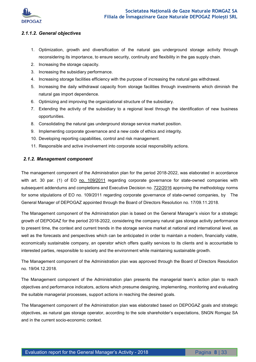

#### *2.1.1.2. General objectives*

- 1. Optimization, growth and diversification of the natural gas underground storage activity through reconsidering its importance, to ensure security, continuity and flexibility in the gas supply chain.
- 2. Increasing the storage capacity.
- 3. Increasing the subsidiary performance.
- 4. Increasing storage facilities efficiency with the purpose of increasing the natural gas withdrawal.
- 5. Increasing the daily withdrawal capacity from storage facilities through investments which diminish the natural gas import dependence.
- 6. Optimizing and improving the organizational structure of the subsidiary.
- 7. Extending the activity of the subsidiary to a regional level through the identification of new business opportunities.
- 8. Consolidating the natural gas underground storage service market position.
- 9. Implementing corporate governance and a new code of ethics and integrity.
- 10. Developing reporting capabilities, control and risk management.
- 11. Responsible and active involvement into corporate social responsibility actions.

#### *2.1.2. Management component*

The management component of the Administration plan for the period 2018-2022, was elaborated in accordance with art. 30 par. (1) of EO no. 109/2011 regarding corporate governance for state-owned companies with subsequent addendums and completions and Executive Decision no. 722/2016 approving the methodology norms for some stipulations of EO no. 109/2011 regarding corporate governance of state-owned companies, by The General Manager of DEPOGAZ appointed through the Board of Directors Resolution no. 17/09.11.2018.

The Management component of the Administration plan is based on the General Manager's vision for a strategic growth of DEPOGAZ for the period 2018-2022, considering the company natural gas storage activity performance to present time, the context and current trends in the storage service market at national and international level, as well as the forecasts and perspectives which can be anticipated in order to maintain a modern, financially viable, economically sustainable company, an operator which offers quality services to its clients and is accountable to interested parties, responsible to society and the environment while maintaining sustainable growth.

The Management component of the Administration plan was approved through the Board of Directors Resolution no. 19/04.12.2018.

The Management component of the Administration plan presents the managerial team's action plan to reach objectives and performance indicators, actions which presume designing, implementing, monitoring and evaluating the suitable managerial processes, support actions in reaching the desired goals.

The Management component of the Administration plan was elaborated based on DEPOGAZ goals and strategic objectives, as natural gas storage operator, according to the sole shareholder's expectations, SNGN Romgaz SA and in the current socio-economic context.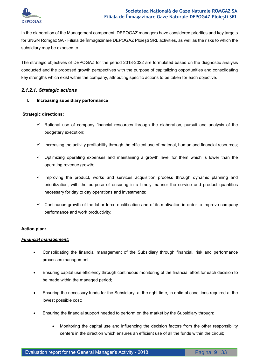

In the elaboration of the Management component, DEPOGAZ managers have considered priorities and key targets for SNGN Romgaz SA - Filiala de Înmagazinare DEPOGAZ Ploieşti SRL activities, as well as the risks to which the subsidiary may be exposed to.

The strategic objectives of DEPOGAZ for the period 2018-2022 are formulated based on the diagnostic analysis conducted and the proposed growth perspectives with the purpose of capitalizing opportunities and consolidating key strengths which exist within the company, attributing specific actions to be taken for each objective.

#### *2.1.2.1. Strategic actions*

#### **I. Increasing subsidiary performance**

#### **Strategic directions:**

- $\checkmark$  Rational use of company financial resources through the elaboration, pursuit and analysis of the budgetary execution;
- $\checkmark$  Increasing the activity profitability through the efficient use of material, human and financial resources;
- $\checkmark$  Optimizing operating expenses and maintaining a growth level for them which is lower than the operating revenue growth;
- $\checkmark$  Improving the product, works and services acquisition process through dynamic planning and prioritization, with the purpose of ensuring in a timely manner the service and product quantities necessary for day to day operations and investments;
- $\checkmark$  Continuous growth of the labor force qualification and of its motivation in order to improve company performance and work productivity;

#### **Action plan:**

#### *Financial management:*

- Consolidating the financial management of the Subsidiary through financial, risk and performance processes management;
- Ensuring capital use efficiency through continuous monitoring of the financial effort for each decision to be made within the managed period;
- Ensuring the necessary funds for the Subsidiary, at the right time, in optimal conditions required at the lowest possible cost;
- Ensuring the financial support needed to perform on the market by the Subsidiary through:
	- Monitoring the capital use and influencing the decision factors from the other responsibility centers in the direction which ensures an efficient use of all the funds within the circuit;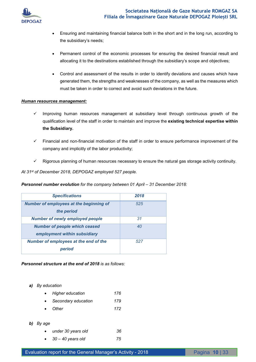

- Ensuring and maintaining financial balance both in the short and in the long run, according to the subsidiary's needs;
- Permanent control of the economic processes for ensuring the desired financial result and allocating it to the destinations established through the subsidiary's scope and objectives;
- Control and assessment of the results in order to identify deviations and causes which have generated them, the strengths and weaknesses of the company, as well as the measures which must be taken in order to correct and avoid such deviations in the future.

#### *Human resources management:*

- $\checkmark$  Improving human resources management at subsidiary level through continuous growth of the qualification level of the staff in order to maintain and improve the **existing technical expertise within the Subsidiary.**
- Financial and non-financial motivation of the staff in order to ensure performance improvement of the company and implicitly of the labor productivity;
- $\checkmark$  Rigorous planning of human resources necessary to ensure the natural gas storage activity continuity.

#### *At 31st of December 2018, DEPOGAZ employed 527 people.*

#### *Personnel number evolution for the company between 01 April – 31 December 2018:*

| <b>Specifications</b>                                                | 2018 |
|----------------------------------------------------------------------|------|
| Number of employees at the beginning of<br>the period                | 525  |
| <b>Number of newly employed people</b>                               | 31   |
| <b>Number of people which ceased</b><br>employment within subsidiary | 40   |
| Number of employees at the end of the<br>period                      | 527  |

#### *Personnel structure at the end of 2018 is as follows:*

*a) By education* 

| $\bullet$ | Higher education      | 176 |
|-----------|-----------------------|-----|
|           | • Secondary education | 179 |
| $\bullet$ | Other                 | 172 |

*b) By age* 

| under 30 years old          | 36 |
|-----------------------------|----|
| $\bullet$ 30 - 40 years old | 75 |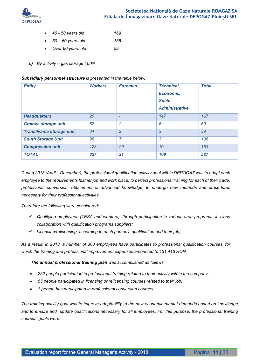

- *40 50 years old 169*
- *50 60 years old 188*
- *Over 60 years old 59*
- *c) By activity gas storage 100%*

#### *Subsidiary personnel structure is presented in the table below:*

| <b>Entity</b>             | <b>Workers</b> | <b>Foremen</b>           | <b>Technical,</b><br>Economic,<br>Socio-<br><b>Administrative</b> | <b>Total</b> |
|---------------------------|----------------|--------------------------|-------------------------------------------------------------------|--------------|
| <b>Headquarters</b>       | 20             | $\overline{\phantom{a}}$ | 147                                                               | 167          |
| Craiova storage unit      | 52             | $\overline{2}$           | 6                                                                 | 60           |
| Transilvania storage unit | 34             | $\overline{2}$           | 3                                                                 | 39           |
| <b>South Storage Unit</b> | 98             | 7                        | 3                                                                 | 108          |
| <b>Compression unit</b>   | 123            | 20                       | 10                                                                | 153          |
| <b>TOTAL</b>              | 327            | 31                       | 169                                                               | 527          |

*During 2018 (April – December), the professional qualification activity goal within DEPOGAZ was to adapt each*  employee to the requirements his/her job and work place, to perfect professional training for each of their trade, *professional conversion, obtainment of advanced knowledge, to undergo new methods and procedures necessary for their professional activities.* 

*Therefore the following were considered:* 

- *Qualifying employees (TESA and workers), through participation in various area programs, in close collaboration with qualification programs suppliers;*
- *Licensing/relicensing, according to each person's qualification and their job;*

*As a result, in 2018, a number of 308 employees have participates to professional qualification courses, for which the training and professional improvement expenses amounted to 131,416 RON.* 

 *The annual professional training plan was accomplished as follows:* 

- *252 people participated in professional training related to their activity within the company;*
- *55 people participated in licensing or relicensing courses related to their job;*
- *1 person has participated in professional conversion courses.*

*The training activity goal was to improve adaptability to the new economic market demands based on knowledge and to ensure and update qualifications necessary for all employees. For this purpose, the professional training courses' goals were:*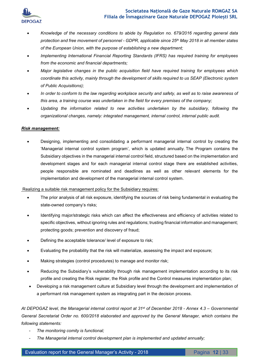



- *Knowledge of the necessary conditions to abide by Regulation no. 679/2016 regarding general data protection and free movement of personnel - GDPR, applicable since 25th May 2018 in all member states of the European Union, with the purpose of establishing a new department;*
- *Implementing International Financial Reporting Standards (IFRS) has required training for employees from the economic and financial departments;*
- *Major legislative changes in the public acquisition field have required training for employees which coordinate this activity, mainly through the development of skills required to us SEAP (Electronic system of Public Acquisitions);*
- *In order to conform to the law regarding workplace security and safety, as well as to raise awareness of this area, a training course was undertaken in the field for every premises of the company;*
- *Updating the information related to new activities undertaken by the subsidiary, following the organizational changes, namely: integrated management, internal control, internal public audit.*

#### *Risk management:*

 Designing, implementing and consolidating a performant managerial internal control by creating the 'Managerial internal control system program', which is updated annually. The Program contains the Subsidiary objectives in the managerial internal control field, structured based on the implementation and development stages and for each managerial internal control stage there are established activities, people responsible are nominated and deadlines as well as other relevant elements for the implementation and development of the managerial internal control system.

#### Realizing a suitable risk management policy for the Subsidiary requires:

- The prior analysis of all risk exposure, identifying the sources of risk being fundamental in evaluating the state-owned company's risks;
- Identifying major/strategic risks which can affect the effectiveness and efficiency of activities related to specific objectives, without ignoring rules and regulations; trusting financial information and management; protecting goods; prevention and discovery of fraud;
- Defining the acceptable tolerance/ level of exposure to risk;
- Evaluating the probability that the risk will materialize, assessing the impact and exposure;
- Making strategies (control procedures) to manage and monitor risk;
- Reducing the Subsidiary's vulnerability through risk management implementation according to its risk profile and creating the Risk register, the Risk profile and the Control measures implementation plan;
- Developing a risk management culture at Subsidiary level through the development and implementation of a performant risk management system as integrating part in the decision process.

*At DEPOGAZ level, the Managerial internal control report at 31st of December 2018 - Annex 4.3 – Governmental General Secretariat Order no. 600/2018 elaborated and approved by the General Manager, which contains the following statements:* 

- *The monitoring comity is functional;*
- *The Managerial internal control development plan is implemented and updated annually;*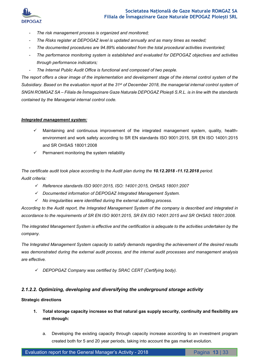

- *The risk management process is organized and monitored;*
- *The Risks register at DEPOGAZ level is updated annually and as many times as needed;*
- *The documented procedures are 94.89% elaborated from the total procedural activities inventoried;*
- *The performance monitoring system is established and evaluated for DEPOGAZ objectives and activities through performance indicators;*
- *The Internal Public Audit Office is functional and composed of two people.*

The report offers a clear image of the implementation and development stage of the internal control system of the *Subsidiary. Based on the evaluation report at the 31 st of December 2018, the managerial internal control system of SNGN ROMGAZ SA – Filiala de Înmagazinare Gaze Naturale DEPOGAZ Ploiești S.R.L. is in line with the standards contained by the Managerial internal control code.* 

#### *Integrated management system:*

- Maintaining and continuous improvement of the integrated management system, quality, healthenvironment and work safety according to SR EN standards ISO 9001:2015, SR EN ISO 14001:2015 and SR OHSAS 18001:2008
- Permanent monitoring the system reliability

*The certificate audit took place according to the Audit plan during the 10.12.2018 -11.12.2018 period. Audit criteria:* 

- *Reference standards ISO 9001:2015, ISO: 14001:2015, OHSAS 18001:2007*
- *Documented information of DEPOGAZ Integrated Management System.*
- *No irregularities were identified during the external auditing process.*

*According to the Audit report, the Integrated Management System of the company is described and integrated in accordance to the requirements of SR EN ISO 9001:2015, SR EN ISO 14001:2015 and SR OHSAS 18001:2008.* 

*The integrated Management System is effective and the certification is adequate to the activities undertaken by the company.* 

*The Integrated Management System capacity to satisfy demands regarding the achievement of the desired results was demonstrated during the external audit process, and the internal audit processes and management analysis are effective.* 

*DEPOPGAZ Company was certified by SRAC CERT (Certifying body).* 

#### *2.1.2.2. Optimizing, developing and diversifying the underground storage activity*

#### **Strategic directions**

- **1. Total storage capacity increase so that natural gas supply security, continuity and flexibility are met through:** 
	- a. Developing the existing capacity through capacity increase according to an investment program created both for 5 and 20 year periods, taking into account the gas market evolution.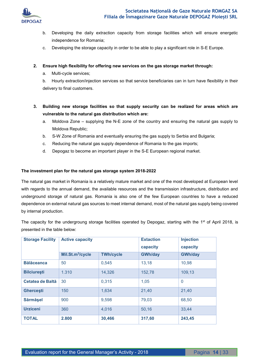

- b. Developing the daily extraction capacity from storage facilities which will ensure energetic independence for Romania;
- c. Developing the storage capacity in order to be able to play a significant role in S-E Europe.

#### **2. Ensure high flexibility for offering new services on the gas storage market through:**

a. Multi-cycle services;

b. Hourly extraction/injection services so that service beneficiaries can in turn have flexibility in their delivery to final customers.

- **3. Building new storage facilities so that supply security can be realized for areas which are vulnerable to the natural gas distribution which are:** 
	- a. Moldova Zone supplying the N-E zone of the country and ensuring the natural gas supply to Moldova Republic;
	- b. S-W Zone of Romania and eventually ensuring the gas supply to Serbia and Bulgaria;
	- c. Reducing the natural gas supply dependence of Romania to the gas imports;
	- d. Depogaz to become an important player in the S-E European regional market.

#### **The investment plan for the natural gas storage system 2018-2022**

The natural gas market in Romania is a relatively mature market and one of the most developed at European level with regards to the annual demand, the available resources and the transmission infrastructure, distribution and underground storage of natural gas. Romania is also one of the few European countries to have a reduced dependence on external natural gas sources to meet internal demand, most of the natural gas supply being covered by internal production.

The capacity for the undergroung storage facilities operated by Depogaz, starting with the 1<sup>st</sup> of April 2018, is presented in the table below:

| <b>Storage Facility</b> | <b>Active capacity</b>       |                  | <b>Extaction</b> | <b>Injection</b> |
|-------------------------|------------------------------|------------------|------------------|------------------|
|                         |                              |                  | capacity         | capacity         |
|                         | Mil.St.m <sup>3</sup> /cycle | <b>TWh/cycle</b> | <b>GWh/day</b>   | <b>GWh/day</b>   |
| <b>Bălăceanca</b>       | 50                           | 0,545            | 13,18            | 10,98            |
| <b>Bilciurești</b>      | 1.310                        | 14,326           | 152,78           | 109,13           |
| Cetatea de Baltă        | 30                           | 0,315            | 1,05             | $\mathbf{0}$     |
| <b>Ghercesti</b>        | 150                          | 1,634            | 21,40            | 21,40            |
| <b>Särmäsel</b>         | 900                          | 9,598            | 79,03            | 68,50            |
| <b>Urziceni</b>         | 360                          | 4,016            | 50,16            | 33,44            |
| <b>TOTAL</b>            | 2.800                        | 30,466           | 317,60           | 243,45           |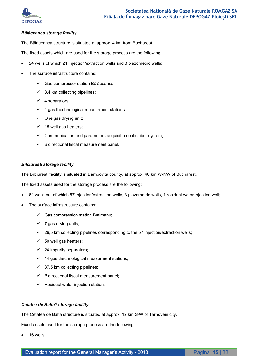

#### *Bălăceanca storage facility*

The Bălăceanca structure is situated at approx. 4 km from Bucharest.

The fixed assets which are used for the storage process are the following:

- 24 wells of which 21 Injection/extraction wells and 3 piezometric wells;
- The surface infrastructure contains:
	- Gas compressor station Bălăceanca;
	- $\checkmark$  8,4 km collecting pipelines;
	- $\checkmark$  4 separators;
	- $4$  gas thechnological measurment stations;
	- $\checkmark$  One gas drying unit;
	- $\times$  15 well gas heaters;
	- $\checkmark$  Communication and parameters acquisition optic fiber system;
	- $\checkmark$  Bidirectional fiscal measurement panel.

#### *Bilciurești storage facility*

The Bilciurești facility is situated in Dambovita county, at approx. 40 km W-NW of Bucharest.

The fixed assets used for the storage process are the following:

- 61 wells out of which 57 injection/extraction wells, 3 piezometric wells, 1 residual water injection well;
- The surface infrastructure contains:
	- $\checkmark$  Gas compression station Butimanu;
	- $\checkmark$  7 gas drying units;
	- $\checkmark$  26,5 km collecting pipelines corresponding to the 57 injection/extraction wells;
	- $\times$  50 well gas heaters;
	- $\checkmark$  24 impurity separators;
	- $\checkmark$  14 gas thechnological measurment stations;
	- $\checkmark$  37,5 km collecting pipelines;
	- $\checkmark$  Bidirectional fiscal measurement panel;
	- $\checkmark$  Residual water injection station.

#### *Cetatea de Baltă\*) storage facility*

The Cetatea de Baltă structure is situated at approx. 12 km S-W of Tarnoveni city.

Fixed assets used for the storage process are the following:

16 wells;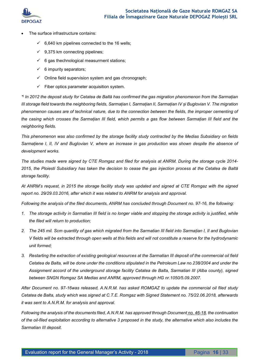

- The surface infrastructure contains:
	- $6,640$  km pipelines connected to the 16 wells;
	- $\checkmark$  9,375 km connecting pipelines;
	- $6$  gas thechnological measurment stations;
	- $6$  impurity separators;
	- $\checkmark$  Online field supervision system and gas chronograph;
	- $\checkmark$  Fiber optics parameter acquisition system.

*\* ) In 2012 the deposit study for Cetatea de Baltă has confirmed the gas migration phenomenon from the Sarmațian III storage field towards the neighboring fields, Sarmațian I, Sarmațian II, Sarmațian IV și Buglovian V. The migration phenomenon causes are of technical nature, due to the connection between the fields, the improper cementing of the casing which crosses the Sarmațian III field, which permits a gas flow between Sarmațian III field and the neighboring fields.* 

*This phenomenon was also confirmed by the storage facility study contracted by the Medias Subsidiary on fields Sarmațiene I, II, IV and Buglovian V, where an increase in gas production was shown despite the absence of development works.* 

*The studies made were signed by CTE Romgaz and filed for analysis at ANRM. During the storage cycle 2014- 2015, the Ploiesti Subsidiary has taken the decision to cease the gas injection process at the Cetatea de Baltă storage facility.* 

*At ANRM's request, in 2015 the storage facility study was updated and signed at CTE Romgaz with the signed report no. 29/29.03.2016, after which it was related to ANRM for analysis and approval.* 

*Following the analysis of the filed documents, ANRM has concluded through Document no. 97-16, the following:* 

- *1. The storage activity in Sarmatian III field is no longer viable and stopping the storage activity is justified, while the filed will return to production;*
- *2. The 245 mil. Scm quantity of gas which migrated from the Sarmatian III field into Sarmațian I, II and Buglovian V fields will be extracted through open wells at this fields and will not constitute a reserve for the hydrodynamic unit formed;*
- *3. Restarting the extraction of existing geological resources at the Sarmatian III deposit of the commercial oil field Cetatea de Balta, will be done under the conditions stipulated in the Petroleum Law no.238/2004 and under the Assignment accord of the underground storage facility Cetatea de Balta, Sarmatian III (Alba county), signed between SNGN Romgaz SA Medias and ANRM, approved through HG nr.1050/5.09.2007.*

*After Document no. 97-16was released, A.N.R.M. has asked ROMGAZ to update the commercial oil filed study Cetatea de Balta, study which was signed at C.T.E. Romgaz with Signed Statement no. 75/22.06.2018, afterwards it was sent to A.N.R.M. for analysis and approval.* 

*Following the analysis of the documents filed, A.N.R.M. has approved through Document no. 46-18, the continuation of the oil-filed exploitation according to alternative 3 proposed in the study, the alternative which also includes the Sarmatian III deposit.*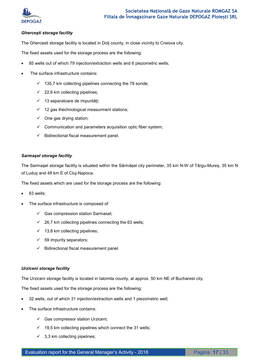

#### *Gherceşti storage facility*

The Ghercesti storage facility is located in Dolj county, in close vicinity to Craiova city.

The fixed assets used for the storage process are the following:

- 85 wells out of which 79 injection/extraction wells and 6 piezometric wells;
- The surface infrastructure contains:
	- $\checkmark$  135,7 km collecting pipelines connecting the 79 sonde;
	- $\checkmark$  22,6 km collecting pipelines;
	- 13 separatoare de impurități;
	- $\checkmark$  12 gas thechnological measurment stations;
	- $\checkmark$  One gas drying station;
	- $\checkmark$  Communication and parameters acquisition optic fiber system;
	- $\checkmark$  Bidirectional fiscal measurement panel.

#### *Sarmaşel storage facility*

The Sarmașel storage facility is situated within the Sărmășel city perimeter, 35 km N-W of Târgu-Mureș, 35 km N of Luduș and 48 km E of Cluj-Napoca.

The fixed assets which are used for the storage process are the following:

- 63 wells;
- The surface infrastructure is composed of:
	- $\checkmark$  Gas compression station Sarmasel;
	- $\checkmark$  26,7 km collecting pipelines connecting the 63 wells;
	- $\checkmark$  13,8 km collecting pipelines;
	- $\checkmark$  59 impurity separators;
	- $\checkmark$  Bidirectional fiscal measurement panel.

#### *Urziceni storage facility*

The Urziceni storage facility is located in Ialomita county, at approx. 50 km NE of Bucharest city.

The fixed assets used for the storage process are the following:

- 32 wells, out of which 31 injection/extraction wells and 1 piezometric well;
- The surface infrastructure contains:
	- $\checkmark$  Gas compressor station Urziceni;
	- $\checkmark$  19,5 km collecting pipelines which connect the 31 wells;
	- $\checkmark$  3,3 km collecting pipelines;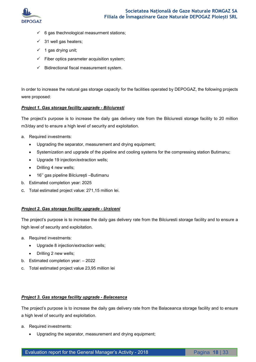

- $6$  gas thechnological measurment stations;
- $\checkmark$  31 well gas heaters;
- $\checkmark$  1 gas drying unit;
- $\checkmark$  Fiber optics parameter acquisition system;
- $\checkmark$  Bidirectional fiscal measurement system.

In order to increase the natural gas storage capacity for the facilities operated by DEPOGAZ, the following projects were proposed:

#### *Project 1. Gas storage facility upgrade - Bilciuresti*

The project's purpose is to increase the daily gas delivery rate from the Bilciuresti storage facility to 20 million m3/day and to ensure a high level of security and exploitation.

- a. Required investments:
	- Upgrading the separator, measurement and drying equipment;
	- Systemization and upgrade of the pipeline and cooling systems for the compressing station Butimanu;
	- Upgrade 19 injection/extraction wells;
	- Drilling 4 new wells;
	- 16'' gas pipeline Bilciurești –Butimanu
- b. Estimated completion year: 2025
- c. Total estimated project value: 271,15 million lei.

#### *Project 2. Gas storage facility upgrade - Urziceni*

The project's purpose is to increase the daily gas delivery rate from the Bilciuresti storage facility and to ensure a high level of security and exploitation.

- a. Required investments:
	- Upgrade 8 injection/extraction wells;
	- Drilling 2 new wells;
- b. Estimated completion year: 2022
- c. Total estimated project value 23,95 million lei

# *Project 3. Gas storage facility upgrade - Balaceanca*

The project's purpose is to increase the daily gas delivery rate from the Balaceanca storage facility and to ensure a high level of security and exploitation.

- a. Required investments:
	- Upgrading the separator, measurement and drying equipment;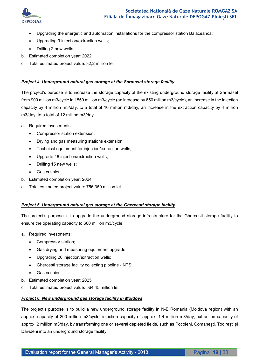

- Upgrading the energetic and automation installations for the compressor station Balaceanca;
- Upgrading 9 injection/extraction wells;
- Drilling 2 new wells;
- b. Estimated completion year: 2022
- c. Total estimated project value: 32,2 million lei

#### *Project 4. Underground natural gas storage at the Sarmasel storage facility*

The project's purpose is to increase the storage capacity of the existing underground storage facility at Sarmasel from 900 million m3/cycle la 1550 million m3/cycle (an increase by 650 million m3/cycle), an increase in the injection capacity by 4 million m3/day, to a total of 10 million m3/day, an increase in the extraction capacity by 4 million m3/day, to a total of 12 million m3/day.

- a. Required investments:
	- Compressor station extension;
	- Drying and gas measuring stations extension;
	- Technical equipment for injection/extraction wells;
	- Upgrade 46 injection/extraction wells;
	- Drilling 15 new wells;
	- Gas cushion.
- b. Estimated completion year: 2024
- c. Total estimated project value: 756,350 million lei

#### *Project 5. Underground natural gas storage at the Ghercesti storage facility*

The project's purpose is to upgrade the underground storage infrastructure for the Ghercesti storage facility to ensure the operating capacity to 600 million m3/cycle.

- a. Required investments:
	- Compressor station;
	- Gas drying and measuring equipment upgrade;
	- Upgrading 20 injection/extraction wells;
	- Ghercesti storage facility collecting pipeline NTS;
	- Gas cushion.
- b. Estimated completion year: 2025
- c. Total estimated project value: 564,45 million lei

#### *Project 6. New underground gas storage facility in Moldova*

The project's purpose is to build a new underground storage facility in N-E Romania (Moldova region) with an approx. capacity of 200 million m3/cycle, injection capacity of approx. 1,4 million m3/day, extraction capacity of approx. 2 million m3/day, by transforming one or several depleted fields, such as Pocoleni, Comănești, Todirești şi Davideni into an underground storage facility.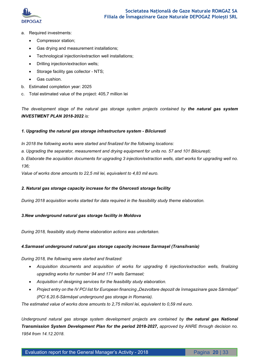

- a. Required investments:
	- Compressor station;
	- Gas drying and measurement installations;
	- Technological injection/extraction well installations;
	- Drilling injection/extraction wells;
	- Storage facility gas collector NTS;
	- Gas cushion.
- b. Estimated completion year: 2025
- c. Total estimated value of the project: 405,7 million lei

*The development stage of the natural gas storage system projects contained by the natural gas system INVESTMENT PLAN 2018-2022 is:* 

#### *1. Upgrading the natural gas storage infrastructure system - Bilciuresti*

- *In 2018 the following works were started and finalized for the following locations:*
- *a. Upgrading the separator, measurement and drying equipment for units no. 57 and 101 Bilciurești;*

*b. Elaborate the acquisition documents for upgrading 3 injection/extraction wells, start works for upgrading well no. 136;* 

*Value of works done amounts to 22,5 mil lei, equivalent to 4,83 mil euro.* 

#### *2. Natural gas storage capacity increase for the Ghercesti storage facility*

*During 2018 acquisition works started for data required in the feasibility study theme elaboration.* 

#### *3.New underground natural gas storage facility in Moldova*

*During 2018, feasibility study theme elaboration actions was undertaken.* 

#### *4.Sarmasel underground natural gas storage capacity increase Sarmașel (Transilvania)*

*During 2018, the following were started and finalized:* 

- Acquisition documents and acquisition of works for upgrading 6 injection/extraction wells, finalizing *upgrading works for number 94 and 171 wells Sarmasel;*
- *Acquisition of designing services for the feasibility study elaboration.*
- *Project entry on the IV PCI list for European financing "Dezvoltare depozit de înmagazinare gaze Sărmășel" (PCI 6.20.6-Sărmășel underground gas storage in Romania).*

*The estimated value of works done amounts to 2,75 milionl lei, equivalent to 0,59 mil euro.* 

*Underground natural gas storage system development projects are contained by the natural gas National*  **Transmission System Development Plan for the period 2018-2027, approved by ANRE through decision no.** *1954 from 14.12.2018.*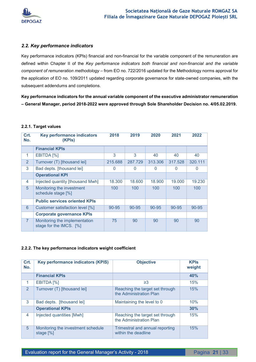

## *2.2. Key performance indicators*

Key performance indicators (KPIs) financial and non-financial for the variable component of the remuneration are defined within Chapter II of the *Key performance indicators both financial and non-financial and the variable component of remuneration methodology* – from EO no. 722/2016 updated for the Methodology norms approval for the application of EO no. 109/2011 updated regarding corporate governance for state-owned companies, with the subsequent addendums and completions.

**Key performance indicators for the annual variable component of the executive administrator remuneration – General Manager, period 2018-2022 were approved through Sole Shareholder Decision no. 4/05.02.2019.** 

#### **2.2.1. Target values**

| Crt.<br>No.    | <b>Key performance indicators</b><br>(KPIs)              | 2018     | 2019      | 2020      | 2021     | 2022         |
|----------------|----------------------------------------------------------|----------|-----------|-----------|----------|--------------|
|                | <b>Financial KPIs</b>                                    |          |           |           |          |              |
| 1              | EBITDA [%]                                               | 3        | 3         | 40        | 40       | 40           |
| $\overline{2}$ | Turnover (T) [thousand lei]                              | 215.688  | 287.729   | 313.306   | 317.528  | 320.111      |
| 3              | Bad depts. [thousand lei]                                | $\Omega$ | $\Omega$  | $\Omega$  | $\Omega$ | $\mathbf{0}$ |
|                | <b>Operational KPI</b>                                   |          |           |           |          |              |
| 4              | Injected quantity [thousand Mwh]                         | 18.300   | 18.600    | 18.900    | 19,000   | 19.230       |
| 5              | Monitoring the investment<br>schedule stage [%]          | 100      | 100       | 100       | 100      | 100          |
|                | <b>Public services oriented KPIs</b>                     |          |           |           |          |              |
| 6              | Customer satisfaction level [%]                          | 90-95    | $90 - 95$ | $90 - 95$ | 90-95    | $90 - 95$    |
|                | <b>Corporate governance KPIs</b>                         |          |           |           |          |              |
| $\overline{7}$ | Monitoring the implementation<br>stage for the IMCS. [%] | 75       | 90        | 90        | 90       | 90           |

#### **2.2.2. The key performance indicators weight coefficient**

| Crt.<br>No.   | <b>Key performance indicators (KPIS)</b>        | <b>Objective</b>                                           | <b>KPIS</b><br>weight |
|---------------|-------------------------------------------------|------------------------------------------------------------|-----------------------|
|               | <b>Financial KPIs</b>                           |                                                            | 40%                   |
| 1             | EBITDA <sup>[%]</sup>                           | ≥3                                                         | 15%                   |
| $\mathcal{P}$ | Turnover (T) [thousand lei]                     | Reaching the target set through<br>the Administration Plan | 15%                   |
| 3             | Bad depts. [thousand lei]                       | Maintaining the level to 0                                 | 10%                   |
|               | <b>Operational KPIs</b>                         |                                                            | 30%                   |
| 4             | Injected quantities [Mwh]                       | Reaching the target set through<br>the Administration Plan | 15%                   |
| 5             | Monitoring the investment schedule<br>stage [%] | Trimestral and annual reporting<br>within the deadline     | 15%                   |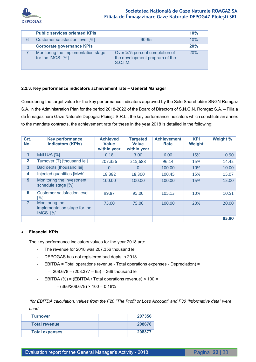

|   | <b>Public services oriented KPIs</b>                     |                                                                                    | 10% |
|---|----------------------------------------------------------|------------------------------------------------------------------------------------|-----|
| 6 | Customer satisfaction level [%]                          | $90 - 95$                                                                          | 10% |
|   | <b>Corporate governance KPIs</b>                         |                                                                                    | 20% |
|   | Monitoring the implementation stage<br>for the IMCS. [%] | Over $\geq$ 75 percent completion of<br>the development program of the<br>S.C.I.M. | 20% |

#### **2.2.3. Key performance indicators achievement rate – General Manager**

Considering the target value for the key performance indicators approved by the Sole Shareholder SNGN Romgaz S.A. in the Administration Plan for the period 2018-2022 of the Board of Directors of S.N.G.N. Romgaz S.A. – Filiala de Înmagazinare Gaze Naturale Depogaz Ploiești S.R.L., the key performance indicators which constitute an annex to the mandate contracts, the achievement rate for these in the year 2018 is detailed in the following:

| Crt.<br>No.             | <b>Key performance</b><br>indicators (KPIs)                        | <b>Achieved</b><br><b>Value</b><br>within year | <b>Targeted</b><br><b>Value</b><br>within year | <b>Achievement</b><br>Rate | <b>KPI</b><br>Weight | Weight % |
|-------------------------|--------------------------------------------------------------------|------------------------------------------------|------------------------------------------------|----------------------------|----------------------|----------|
| $\mathbf{1}$            | EBITDA <sup>[%]</sup>                                              | 0.18                                           | 3.00                                           | 6.00                       | 15%                  | 0.90     |
| $\mathbf{2}$            | Turnover (T) [thousand lei]                                        | 207,356                                        | 215,688                                        | 96.14                      | 15%                  | 14.42    |
| $\overline{\mathbf{3}}$ | Bad depts [thousand lei]                                           | 0                                              | 0                                              | 100.00                     | 10%                  | 10.00    |
| 4                       | Injected quantities [Mwh]                                          | 18,382                                         | 18,300                                         | 100.45                     | 15%                  | 15.07    |
| 5                       | Monitoring the investment<br>schedule stage [%]                    | 100.00                                         | 100.00                                         | 100.00                     | 15%                  | 15.00    |
| 6                       | Customer satisfaction level<br>[%]                                 | 99.87                                          | 95.00                                          | 105.13                     | 10%                  | 10.51    |
| $\overline{7}$          | Monitoring the<br>implementation stage for the<br><b>IMCS.</b> [%] | 75.00                                          | 75.00                                          | 100.00                     | 20%                  | 20.00    |
|                         |                                                                    |                                                |                                                |                            |                      | 85.90    |

#### **Financial KPIs**

The key performance indicators values for the year 2018 are:

- The revenue for 2018 was 207.356 thousand lei;
- DEPOGAS has not registered bad depts in 2018.
- EBITDA = Total operations revenue Total operations expenses Depreciation) =

 $= 208.678 - (208.377 - 65) = 366$  thousand lei

EBITDA (%) = (EBITDA / Total operations revenue) × 100 =

 $=(366/208.678) \times 100 = 0,18\%$ 

*\*for EBITDA calculation, values from the F20 "The Profit or Loss Account" and F30 "Informative data" were used* 

| <b>Turnover</b>       | 207356 |
|-----------------------|--------|
| <b>Total revenue</b>  | 208678 |
| <b>Total expenses</b> | 208377 |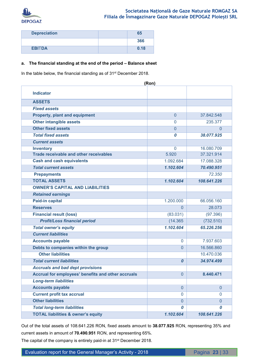

| <b>Depreciation</b> | 65   |
|---------------------|------|
|                     | 366  |
| <b>EBITDA</b>       | 0.18 |

#### **a. The financial standing at the end of the period – Balance sheet**

In the table below, the financial standing as of 31<sup>st</sup> December 2018.

| (Ron)                                              |                  |                |  |  |
|----------------------------------------------------|------------------|----------------|--|--|
| <b>Indicator</b>                                   |                  |                |  |  |
| <b>ASSETS</b>                                      |                  |                |  |  |
| <b>Fixed assets</b>                                |                  |                |  |  |
| <b>Property, plant and equipment</b>               | $\overline{0}$   | 37.842.548     |  |  |
| <b>Other intangible assets</b>                     | $\overline{0}$   | 235.377        |  |  |
| <b>Other fixed assets</b>                          | $\overline{0}$   | 0              |  |  |
| <b>Total fixed assets</b>                          | 0                | 38.077.925     |  |  |
| <b>Current assets</b>                              |                  |                |  |  |
| <b>Inventory</b>                                   | $\mathbf{0}$     | 16.080.709     |  |  |
| <b>Trade receivable and other receivables</b>      | 5.920            | 37.321.914     |  |  |
| <b>Cash and cash equivalents</b>                   | 1.092.684        | 17.088.328     |  |  |
| <b>Total current assets</b>                        | 1.102.604        | 70.490.951     |  |  |
| <b>Prepayments</b>                                 |                  | 72.350         |  |  |
| <b>TOTAL ASSETS</b>                                | 1.102.604        | 108.641.226    |  |  |
| <b>OWNER'S CAPITAL AND LIABILITIES</b>             |                  |                |  |  |
| <b>Retained earnings</b>                           |                  |                |  |  |
| <b>Paid-in capital</b>                             | 1.200.000        | 66.056.160     |  |  |
| <b>Reserves</b>                                    | $\Omega$         | 28.073         |  |  |
| <b>Financial result (loss)</b>                     | (83.031)         | (97.396)       |  |  |
| <b>Profit/Loss financial period</b>                | (14.365)         | (732.510)      |  |  |
| <b>Total owner's equity</b>                        | 1.102.604        | 65.226.256     |  |  |
| <b>Current liabilities</b>                         |                  |                |  |  |
| <b>Accounts payable</b>                            | $\mathbf{0}$     | 7.937.603      |  |  |
| Debts to companies within the group                | $\Omega$         | 16.566.860     |  |  |
| <b>Other liabilities</b>                           |                  | 10.470.036     |  |  |
| <b>Total current liabilities</b>                   | $\boldsymbol{0}$ | 34.974.499     |  |  |
| <b>Accruals and bad dept provisions</b>            |                  |                |  |  |
| Accrual for employees' benefits and other accruals | $\overline{0}$   | 8.440.471      |  |  |
| <b>Long-term liabilities</b>                       |                  |                |  |  |
| <b>Accounts payable</b>                            | $\overline{0}$   | $\overline{0}$ |  |  |
| <b>Current profit tax accrual</b>                  | $\Omega$         | $\mathbf 0$    |  |  |
| <b>Other liabilities</b>                           | $\overline{0}$   | $\overline{0}$ |  |  |
| <b>Total long-term liabilities</b>                 | 0                | 0              |  |  |
| <b>TOTAL liabilities &amp; owner's equity</b>      | 1.102.604        | 108.641.226    |  |  |

Out of the total assets of 108.641.226 RON, fixed assets amount to **38.077.925** RON, representing 35% and current assets in amount of **70.490.951** RON, and representing 65%.

The capital of the company is entirely paid-in at 31<sup>st</sup> December 2018.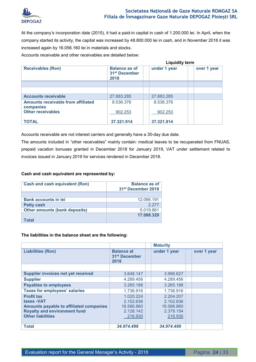

At the company's incorporation date (2015), it had a paid-in capital in cash of 1.200.000 lei. In April, when the company started its activity, the capital was increased by 48.800.000 lei in cash, and in November 2018 it was increased again by 16.056.160 lei in materials and stocks.

Accounts receivable and other receivables are detailed below:

|                                                        | <b>Liquidity term</b>                                     |  |              |  |             |
|--------------------------------------------------------|-----------------------------------------------------------|--|--------------|--|-------------|
| <b>Receivables (Ron)</b>                               | <b>Balance as of</b><br>31 <sup>st</sup> December<br>2018 |  | under 1 year |  | over 1 year |
|                                                        |                                                           |  |              |  |             |
|                                                        |                                                           |  |              |  |             |
| <b>Accounts receivable</b>                             | 27.883.285                                                |  | 27.883.285   |  |             |
| <b>Amounts receivable from affiliated</b><br>companies | 8.536.376                                                 |  | 8.536.376    |  |             |
| <b>Other receivables</b>                               | 902.253                                                   |  | 902.253      |  |             |
| <b>TOTAL</b>                                           | 37.321.914                                                |  | 37.321.914   |  |             |

Accounts receivable are not interest carriers and generally have a 30-day due date.

The amounts included in "other receivables" mainly contain: medical leaves to be recuperated from FNUAS, prepaid vacation bonuses granted in December 2018 for January 2019, VAT under settlement related to invoices issued in January 2019 for services rendered in December 2018.

#### **Cash and cash equivalent are represented by:**

| <b>Cash and cash equivalent (Ron)</b> | <b>Balance as of</b><br>31 <sup>st</sup> December 2018 |
|---------------------------------------|--------------------------------------------------------|
|                                       |                                                        |
| <b>Bank accounts in lei</b>           | 12.066.191                                             |
| <b>Petty cash</b>                     | 2.277                                                  |
| <b>Other amounts (bank deposits)</b>  | 5.019.861                                              |
| Total                                 | 17.088.329                                             |

#### **The liabilities in the balance sheet are the following:**

|                                                                                                                                                       |                                                              | <b>Maturity</b>                                              |  |             |
|-------------------------------------------------------------------------------------------------------------------------------------------------------|--------------------------------------------------------------|--------------------------------------------------------------|--|-------------|
| <b>Liabilities (Ron)</b>                                                                                                                              | <b>Balance at</b><br>31 <sup>st</sup> December<br>2018       | under 1 year                                                 |  | over 1 year |
|                                                                                                                                                       |                                                              |                                                              |  |             |
| <b>Supplier invoices not yet received</b>                                                                                                             | 3.648.147                                                    | 3.996.627                                                    |  |             |
| <b>Supplier</b>                                                                                                                                       | 4.289.456                                                    | 4.289.456                                                    |  |             |
| <b>Payables to employees</b>                                                                                                                          | 3.265.188                                                    | 3.265.188                                                    |  |             |
| <b>Taxes for employees' salaries</b>                                                                                                                  | 1.736.916                                                    | 1.736.916                                                    |  |             |
| <b>Profit tax</b><br>taxes - VAT<br><b>Amounts payable to affiliated companies</b><br><b>Royalty and environment fund</b><br><b>Other liabilities</b> | 1.020.224<br>2.102.636<br>16.566.860<br>2.128.142<br>216.930 | 2.204.207<br>2.102.636<br>16.566.860<br>2.378.154<br>216.930 |  |             |
| <b>Total</b>                                                                                                                                          | 34.974.499                                                   | 34.974.499                                                   |  |             |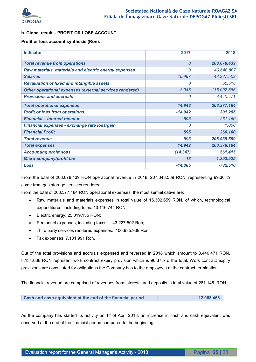

#### **b. Global result – PROFIT OR LOSS ACCOUNT**

#### **Profit or loss account synthesis (Ron):**

| <b>Indicator</b>                                               | 2017      | 2018        |
|----------------------------------------------------------------|-----------|-------------|
| <b>Total revenue from operations</b>                           | 0         | 208.678.439 |
| Raw materials, materials and electric energy expenses          | 0         | 40.640.807  |
| <b>Salaries</b>                                                | 10.997    | 43.227.502  |
| <b>Revaluation of fixed and intangible assets</b>              | 0         | 65.518      |
| <b>Other operational expenses (external services rendered)</b> | 3.945     | 116.002.886 |
| <b>Provisions and accruals</b>                                 | 0         | 8.440.471   |
| <b>Total operational expenses</b>                              | 14.942    | 208.377.184 |
| <b>Profit or loss from operations</b>                          | $-14.942$ | 301.255     |
| <b>Financial - interest revenue</b>                            | 595       | 261.160     |
| Financial expenses - exchange rate loss/gain                   | 0         | 1.000       |
| <b>Financial Profit</b>                                        | 595       | 260.160     |
| <b>Total revenue</b>                                           | 595       | 208.939.599 |
| <b>Total expenses</b>                                          | 14.942    | 208.378.184 |
| <b>Accounting profit /loss</b>                                 | (14.347)  | 561.415     |
| <b>Micro-company/profit tax</b>                                | 18        | 1.293.925   |
| Loss                                                           | $-14.365$ | $-732.510$  |

From the total of 208.678.439 RON operational revenue in 2018, 207.348.589 RON, representing 99,30 % come from gas storage services rendered.

From the total of 208.377.184 RON operational expenses, the most semnificative are:

- Raw materials and materials expenses in total value of 15.302.659 RON, of which, technological expenditures, including fules: 13.116.744 RON;
- Electric energy: 25.019.135 RON;
- Personnel expenses, including taxes: 43.227.502 Ron;
- Third party services rendered expenses: 106.935.939 Ron;
- Tax expenses: 7.131.991 Ron.

Out of the total provisions and accruals expensed and reversed in 2018 which amount to 8.440.471 RON, 8.134.038 RON represent work contract expiry provision which is 96.37% o the total. Work contract expiry provisions are constituted for obligations the Company has to the employees at the contract termination.

The financial revenue are comprised of revenues from interests and deposits in total value of 261.145 RON.

**Cash and cash equivalent at the end of the financial period <b>12.068.468** 

As the company has started its activity on  $1<sup>st</sup>$  of April 2018, an increase in cash and cash equivalent was observed at the end of the financial period compared to the beginning.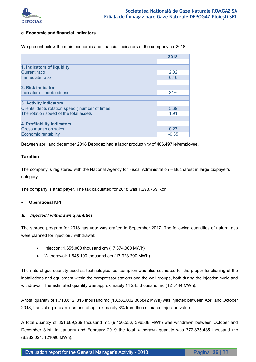

#### **c. Economic and financial indicators**

We present below the main economic and financial indicators of the company for 2018

|                                                  | 2018    |
|--------------------------------------------------|---------|
|                                                  |         |
| 1. Indicators of liquidity                       |         |
| <b>Current ratio</b>                             | 2.02    |
| Immediate ratio                                  | 0.46    |
|                                                  |         |
| 2. Risk indicator                                |         |
| Indicator of indebtedness                        | 31%     |
|                                                  |         |
| 3. Activity indicators                           |         |
| Clients 'debts rotation speed ( number of times) | 5.69    |
| The rotation speed of the total assets           | 1.91    |
|                                                  |         |
| 4. Profitability indicators                      |         |
| Gross margin on sales                            | 0.27    |
| <b>Economic rentability</b>                      | $-0.35$ |

Between april and december 2018 Depogaz had a labor productivity of 406,497 lei/employee.

#### **Taxation**

The company is registered with the National Agency for Fiscal Administration – Bucharest in large taxpayer's category.

The company is a tax payer. The tax calculated for 2018 was 1.293.769 Ron.

#### **Operational KPI**

#### **a.** *Injected / withdrawn quantities*

The storage program for 2018 gas year was drafted in September 2017. The following quantities of natural gas were planned for injection / withdrawal:

- Injection: 1.655.000 thousand cm (17.874.000 MWh);
- Withdrawal: 1.645.100 thousand cm (17.923.290 MWh).

The natural gas quantity used as technological consumption was also estimated for the proper functioning of the installations and equipment within the compressor stations and the well groups, both during the injection cycle and withdrawal. The estimated quantity was approximately 11.245 thousand mc (121.444 MWh).

A total quantity of 1.713.612, 813 thousand mc (18,382,002.305842 MWh) was injected between April and October 2018, translating into an increase of approximately 3% from the estimated injection value.

A total quantity of 851.689,269 thousand mc (9.150.556, 396588 MWh) was withdrawn between October and December 31st. In January and February 2019 the total withdrawn quantity was 772.835,435 thousand mc (8.282.024, 121096 MWh).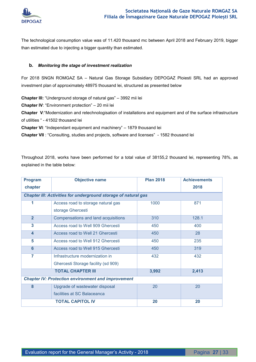

The technological consumption value was of 11.420 thousand mc between April 2018 and February 2019, bigger than estimated due to injecting a bigger quantity than estimated.

#### **b.** *Monitoring the stage of investment realization*

For 2018 SNGN ROMGAZ SA – Natural Gas Storage Subsidiary DEPOGAZ Ploiesti SRL had an approved investment plan of approximately 48975 thousand lei, structured as presented below

**Chapter III:** "Underground storage of natural gas" – 3992 mii lei

**Chapter IV**: "Environment protection" – 20 mii lei

**Chapter V**:"Modernization and retechnologisation of installations and equipment and of the surface infrastructure of utilities " - 41502 thousand lei

**Chapter VI**: "Independant equipment and machinery" – 1879 thousand lei

**Chapter VII** : "Consulting, studies and projects, software and licenses" - 1582 thousand lei

Throughout 2018, works have been performed for a total value of 38155,2 thousand lei, representing 78%, as explained in the table below:

| <b>Program</b>                                            | <b>Objective name</b>                                          | <b>Plan 2018</b> | <b>Achievements</b> |  |  |
|-----------------------------------------------------------|----------------------------------------------------------------|------------------|---------------------|--|--|
| chapter                                                   |                                                                |                  | 2018                |  |  |
|                                                           | Chapter III: Activities for underground storage of natural gas |                  |                     |  |  |
| 1                                                         | Access road to storage natural gas                             | 1000             | 871                 |  |  |
|                                                           | storage Ghercesti                                              |                  |                     |  |  |
| $\overline{2}$                                            | Compensations and land acquisitions                            | 310              | 128.1               |  |  |
| 3                                                         | Access road to Well 909 Ghercesti                              | 450              | 400                 |  |  |
| $\overline{\mathbf{4}}$                                   | Access road to Well 21 Ghercesti                               | 450              | 28                  |  |  |
| 5                                                         | Access road to Well 912 Ghercesti                              | 450              | 235                 |  |  |
| $6\phantom{a}$                                            | Access road to Well 915 Ghercesti                              | 450              | 319                 |  |  |
| 7                                                         | Infrastructure modernization in                                | 432              | 432                 |  |  |
|                                                           | Ghercesti Storage facility (sd 909)                            |                  |                     |  |  |
|                                                           | <b>TOTAL CHAPTER III</b>                                       | 3,992            | 2,413               |  |  |
| <b>Chapter IV: Protection environment and improvement</b> |                                                                |                  |                     |  |  |
| 8                                                         | Upgrade of wastewater disposal                                 | 20               | 20                  |  |  |
|                                                           | facilities at SC Balaceanca                                    |                  |                     |  |  |
|                                                           | <b>TOTAL CAPITOL IV</b>                                        | 20               | 20                  |  |  |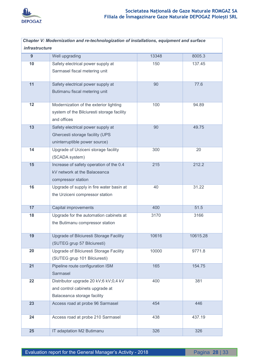

| Chapter V: Modernization and re-technologization of installations, equipment and surface |                                            |       |          |  |  |
|------------------------------------------------------------------------------------------|--------------------------------------------|-------|----------|--|--|
| <i>infrastructure</i>                                                                    |                                            |       |          |  |  |
| 9                                                                                        | Well upgrading                             | 13348 | 8005.3   |  |  |
| 10                                                                                       | Safety electrical power supply at          | 150   | 137.45   |  |  |
|                                                                                          | Sarmasel fiscal metering unit              |       |          |  |  |
|                                                                                          |                                            |       |          |  |  |
| 11                                                                                       | Safety electrical power supply at          | 90    | 77.6     |  |  |
|                                                                                          | Butimanu fiscal metering unit              |       |          |  |  |
| 12                                                                                       | Modernization of the exterior lighting     | 100   | 94.89    |  |  |
|                                                                                          | system of the Bilciuresti storage facility |       |          |  |  |
|                                                                                          | and offices                                |       |          |  |  |
| 13                                                                                       | Safety electrical power supply at          | 90    | 49.75    |  |  |
|                                                                                          | Ghercesti storage facility (UPS            |       |          |  |  |
|                                                                                          | uninterruptible power source)              |       |          |  |  |
| 14                                                                                       | Upgrade of Urziceni storage facility       | 300   | 20       |  |  |
|                                                                                          | (SCADA system)                             |       |          |  |  |
| 15                                                                                       | Increase of safety operation of the 0.4    | 215   | 212.2    |  |  |
|                                                                                          | kV network at the Balaceanca               |       |          |  |  |
|                                                                                          | compressor station                         |       |          |  |  |
| 16                                                                                       | Upgrade of supply in fire water basin at   | 40    | 31.22    |  |  |
|                                                                                          | the Urziceni compressor station            |       |          |  |  |
|                                                                                          |                                            |       |          |  |  |
| 17                                                                                       | Capital improvements                       | 400   | 51.5     |  |  |
| 18                                                                                       | Upgrade for the automation cabinets at     | 3170  | 3166     |  |  |
|                                                                                          | the Butimanu compressor station            |       |          |  |  |
|                                                                                          |                                            |       |          |  |  |
| 19                                                                                       | Upgrade of Bilciuresti Storage Facility    | 10616 | 10615.28 |  |  |
|                                                                                          | (SUTEG grup 57 Bilciuresti)                |       |          |  |  |
| 20                                                                                       | Upgrade of Bilciuresti Storage Facility    | 10000 | 9771.8   |  |  |
|                                                                                          | (SUTEG grup 101 Bilciuresti)               |       |          |  |  |
| 21                                                                                       | Pipeline route configuration ISM           | 165   | 154.75   |  |  |
|                                                                                          | Sarmasel                                   |       |          |  |  |
| 22                                                                                       | Distributor upgrade 20 kV;6 kV;0,4 kV      | 400   | 381      |  |  |
|                                                                                          | and control cabinets upgrade at            |       |          |  |  |
|                                                                                          | Balaceanca storage facility                |       |          |  |  |
| 23                                                                                       | Access road at probe 96 Sarmasel           | 454   | 446      |  |  |
|                                                                                          |                                            |       |          |  |  |
| 24                                                                                       | Access road at probe 210 Sarmasel          | 438   | 437.19   |  |  |
| 25                                                                                       | IT adaptation M2 Butimanu                  | 326   | 326      |  |  |
|                                                                                          |                                            |       |          |  |  |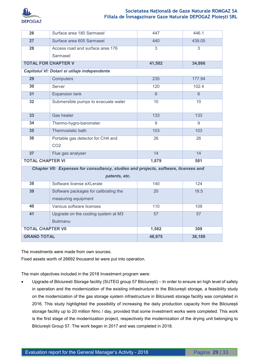

| 26                                                                                  | Surface area 180 Sarmasel                    | 447            | 446.1           |  |
|-------------------------------------------------------------------------------------|----------------------------------------------|----------------|-----------------|--|
| 27                                                                                  | Surface area 605 Sarmasel                    | 440            | 439.05          |  |
| 28                                                                                  | Access road and surface area 176             | $\overline{3}$ | 3               |  |
|                                                                                     | Sarmasel                                     |                |                 |  |
| <b>TOTAL FOR CHAPTER V</b>                                                          |                                              | 41,502         | 34,866          |  |
|                                                                                     | Capitolul VI: Dotari si utilaje independente |                |                 |  |
| 29                                                                                  | Computers                                    | 235            | 177.94          |  |
| 30                                                                                  | Server                                       | 120            | 102.4           |  |
| 31                                                                                  | <b>Expansion tank</b>                        | 6              | $\overline{6}$  |  |
| 32                                                                                  | Submersible pumps to evacuate water          | 10             | 10              |  |
|                                                                                     |                                              |                |                 |  |
| 33                                                                                  | <b>Gas heater</b>                            | 133            | 133             |  |
| 34                                                                                  | Thermo-hygro-barometer                       | 9              | 9               |  |
| 35                                                                                  | Thermostatic bath                            | 103            | 103             |  |
| 36                                                                                  | Portable gas detector for CH4 and            | 26             | $\overline{26}$ |  |
|                                                                                     | CO <sub>2</sub>                              |                |                 |  |
| 37                                                                                  | Flue gas analyser                            | 14             | 14              |  |
| <b>TOTAL CHAPTER VI</b>                                                             |                                              | 1,879          | 581             |  |
| Chapter VII: Expenses for consultancy, studies and projects, software, licenses and |                                              |                |                 |  |
|                                                                                     | patents, etc.                                |                |                 |  |
| 38                                                                                  | Software license eXLerate                    | 140            | 124             |  |
| 39                                                                                  | Software packages for calibrating the        | 20             | 18.5            |  |
|                                                                                     | measuring equipment                          |                |                 |  |
| 40                                                                                  | Various software licenses                    | 110            | 109             |  |
| 41                                                                                  | Upgrade on the cooling system at M3          | 57             | 57              |  |
|                                                                                     | <b>Butimanu</b>                              |                |                 |  |
| <b>TOTAL CHAPTER VII</b>                                                            |                                              | 1,582          | 309             |  |
| <b>GRAND TOTAL</b>                                                                  |                                              | 48,975         | 38,189          |  |

The investments were made from own sources.

Fixed assets worth of 26692 thousand lei were put into operation.

The main objectives included in the 2018 Investment program were:

 Upgrade of Bilciuresti Storage facility (SUTEG group 57 Bilciurești) – In order to ensure an high level of safety in operation and the modernization of the existing infrastructure in the Bilciurești storage, a feasibility study on the modernization of the gas storage system infrastructure in Bilciuresti storage facility was completed in 2016. This study highlighted the possibility of increasing the daily production capacity from the Bilciurești storage facility up to 20 million Nmc / day, provided that some investment works were completed. This work is the first stage of the modernization project, respectively the modernization of the drying unit belonging to Bilciuresti Group 57. The work began in 2017 and was completed in 2018.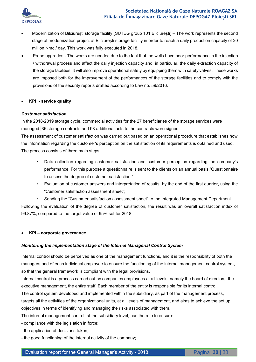

- Modernization of Bilciurești storage facility (SUTEG group 101 Bilciurești) The work represents the second stage of modernization project at Bilciuresti storage facility in order to reach a daily production capacity of 20 million Nmc / day. This work was fully executed in 2018.
- Probe upgrades The works are needed due to the fact that the wells have poor performance in the injection / withdrawal process and affect the daily injection capacity and, in particular, the daily extraction capacity of the storage facilities. It will also improve operational safety by equipping them with safety valves. These works are imposed both for the improvement of the performances of the storage facilities and to comply with the provisions of the security reports drafted according to Law no. 59/2016.
- **KPI service quality**

#### *Customer satisfaction*

In the 2018-2019 storage cycle, commercial activities for the 27 beneficiaries of the storage services were managed. 35 storage contracts and 93 additional acts to the contracts were signed.

The assessment of customer satisfaction was carried out based on an operational procedure that establishes how the information regarding the customer's perception on the satisfaction of its requirements is obtained and used. The process consists of three main steps:

- Data collection regarding customer satisfaction and customer perception regarding the company's performance. For this purpose a questionnaire is sent to the clients on an annual basis,"Questionnaire to assess the degree of customer satisfaction ".
- Evaluation of customer answers and interpretation of results, by the end of the first quarter, using the "Customer satisfaction assessment sheet";
- Sending the "Customer satisfaction assessment sheet" to the Integrated Management Department

Following the evaluation of the degree of customer satisfaction, the result was an overall satisfaction index of 99.87%, compared to the target value of 95% set for 2018.

**KPI – corporate governance** 

#### *Monitoring the implementation stage of the Internal Managerial Control System*

Internal control should be perceived as one of the management functions, and it is the responsibility of both the managers and of each individual employee to ensure the functioning of the internal management control system, so that the general framework is compliant with the legal provisions.

Internal control is a process carried out by companies employees at all levels, namely the board of directors, the executive management, the entire staff. Each member of the entity is responsible for its internal control.

The control system developed and implemented within the subsidiary, as part of the management process,

targets all the activities of the organizational units, at all levels of management, and aims to achieve the set up objectives in terms of identifying and managing the risks associated with them.

The internal management control, at the subsidiary level, has the role to ensure:

- compliance with the legislation in force;
- the application of decisions taken;
- the good functioning of the internal activity of the company;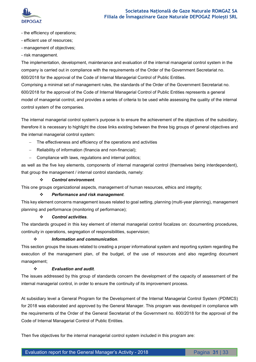

- the efficiency of operations;
- efficient use of resources;
- management of objectives;
- risk management.

The implementation, development, maintenance and evaluation of the internal managerial control system in the company is carried out in compliance with the requirements of the Order of the Government Secretariat no. 600/2018 for the approval of the Code of Internal Managerial Control of Public Entities.

Comprising a minimal set of management rules, the standards of the Order of the Government Secretariat no. 600/2018 for the approval of the Code of Internal Managerial Control of Public Entities represents a general model of managerial control, and provides a series of criteria to be used while assessing the quality of the internal control system of the companies.

The internal managerial control system's purpose is to ensure the achievement of the objectives of the subsidiary, therefore it is necessary to highlight the close links existing between the three big groups of general objectives and the internal managerial control system:

- The effectiveness and efficiency of the operations and activities
- Reliability of information (financia and non-financial);
- Compliance with laws, regulations and internal politics;

as well as the five key elements, components of internal managerial control (themselves being interdependent), that group the management / internal control standards, namely:

#### *Control environment.*

This one groups organizational aspects, management of human resources, ethics and integrity;

#### *Performance and risk management*.

This key element concerns management issues related to goal setting, planning (multi-year planning), management planning and performance (monitoring of performance);

#### *Control activities*.

The standards grouped in this key element of internal managerial control focalizes on: documenting procedures, continuity in operations, segregation of responsibilities, supervision;

#### *Information and communication*.

This section groups the issues related to creating a proper informational system and reporting system regarding the execution of the management plan, of the budget, of the use of resources and also regarding document management;

#### *Evaluation and audit*.

The issues addressed by this group of standards concern the development of the capacity of assessment of the internal managerial control, in order to ensure the continuity of its improvement process.

At subsidiary level a General Program for the Development of the Internal Managerial Control System (PDIMCS) for 2018 was elaborated and approved by the General Manager. This program was developed in compliance with the requirements of the Order of the General Secretariat of the Government no. 600/2018 for the approval of the Code of Internal Managerial Control of Public Entities.

Then five objectives for the internal managerial control system included in this program are: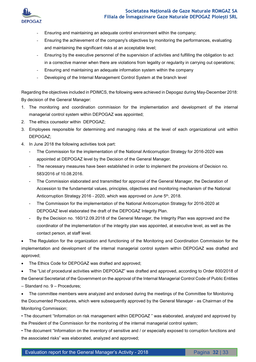

- Ensuring and maintaining an adequate control environment within the company;
- Ensuring the achievement of the company's objectives by monitoring the performances, evaluating and maintaining the significant risks at an acceptable level;
- Ensuring by the executive personnel of the supervision of activities and fulfilling the obligation to act in a corrective manner when there are violations from legality or regularity in carrying out operations;
- Ensuring and maintaining an adequate information system within the company
- Developing of the Internal Management Control System at the branch level

Regarding the objectives included in PDIMCS, the following were achieved in Depogaz during May-December 2018: By decision of the General Manager:

- 1. The monitoring and coordination commission for the implementation and development of the internal managerial control system within DEPOGAZ was appointed;
- 2. The ethics counselor within DEPOGAZ;
- 3. Employees responsible for determining and managing risks at the level of each organizational unit within DEPOGAZ;
- 4. In June 2018 the following activities took part:
	- The Commission for the implementation of the National Anticorruption Strategy for 2016-2020 was appointed at DEPOGAZ level by the Decision of the General Manager.
	- The necessary measures have been established in order to implement the provisions of Decision no. 583/2016 of 10.08.2016.
	- The Commission elaborated and transmitted for approval of the General Manager, the Declaration of Accession to the fundamental values, principles, objectives and monitoring mechanism of the National Anticorruption Strategy 2016 - 2020, which was approved on June 5th, 2018.
	- The Commission for the implementation of the National Anticorruption Strategy for 2016-2020 at DEPOGAZ level elaborated the draft of the DEPOGAZ Integrity Plan.
	- By the Decision no. 160/12.09.2018 of the General Manager, the Integrity Plan was approved and the coordinator of the implementation of the integrity plan was appointed, at executive level, as well as the contact person, at staff level.

 The Regulation for the organization and functioning of the Monitoring and Coordination Commission for the implementation and development of the internal managerial control system within DEPOGAZ was drafted and approved;

- The Ethics Code for DEPOGAZ was drafted and approved;
- The "List of procedural activities within DEPOGAZ" was drafted and approved, according to Order 600/2018 of the General Secretariat of the Government on the approval of the Internal Managerial Control Code of Public Entities – Standard no. 9 – Procedures;

• The committee members were analyzed and endorsed during the meetings of the Committee for Monitoring the Documented Procedures, which were subsequently approved by the General Manager - as Chairman of the Monitoring Commission;

• The document "Information on risk management within DEPOGAZ " was elaborated, analyzed and approved by the President of the Commission for the monitoring of the internal managerial control system;

• The document "Information on the inventory of sensitive and / or especially exposed to corruption functions and the associated risks" was elaborated, analyzed and approved;